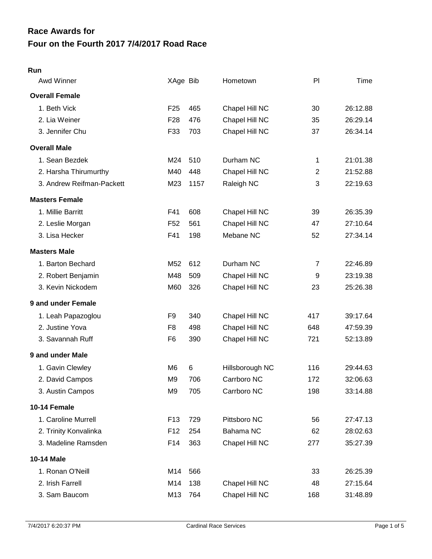# **Four on the Fourth 2017 7/4/2017 Road Race Race Awards for**

#### **Run**

| Awd Winner                | XAge Bib        |      | Hometown        | PI             | Time     |
|---------------------------|-----------------|------|-----------------|----------------|----------|
| <b>Overall Female</b>     |                 |      |                 |                |          |
| 1. Beth Vick              | F <sub>25</sub> | 465  | Chapel Hill NC  | 30             | 26:12.88 |
| 2. Lia Weiner             | F <sub>28</sub> | 476  | Chapel Hill NC  | 35             | 26:29.14 |
| 3. Jennifer Chu           | F33             | 703  | Chapel Hill NC  | 37             | 26:34.14 |
| <b>Overall Male</b>       |                 |      |                 |                |          |
| 1. Sean Bezdek            | M24             | 510  | Durham NC       | 1              | 21:01.38 |
| 2. Harsha Thirumurthy     | M40             | 448  | Chapel Hill NC  | $\overline{2}$ | 21:52.88 |
| 3. Andrew Reifman-Packett | M23             | 1157 | Raleigh NC      | 3              | 22:19.63 |
| <b>Masters Female</b>     |                 |      |                 |                |          |
| 1. Millie Barritt         | F41             | 608  | Chapel Hill NC  | 39             | 26:35.39 |
| 2. Leslie Morgan          | F <sub>52</sub> | 561  | Chapel Hill NC  | 47             | 27:10.64 |
| 3. Lisa Hecker            | F41             | 198  | Mebane NC       | 52             | 27:34.14 |
| <b>Masters Male</b>       |                 |      |                 |                |          |
| 1. Barton Bechard         | M <sub>52</sub> | 612  | Durham NC       | 7              | 22:46.89 |
| 2. Robert Benjamin        | M48             | 509  | Chapel Hill NC  | 9              | 23:19.38 |
| 3. Kevin Nickodem         | M60             | 326  | Chapel Hill NC  | 23             | 25:26.38 |
| 9 and under Female        |                 |      |                 |                |          |
| 1. Leah Papazoglou        | F <sub>9</sub>  | 340  | Chapel Hill NC  | 417            | 39:17.64 |
| 2. Justine Yova           | F <sub>8</sub>  | 498  | Chapel Hill NC  | 648            | 47:59.39 |
| 3. Savannah Ruff          | F <sub>6</sub>  | 390  | Chapel Hill NC  | 721            | 52:13.89 |
| 9 and under Male          |                 |      |                 |                |          |
| 1. Gavin Clewley          | M <sub>6</sub>  | 6    | Hillsborough NC | 116            | 29:44.63 |
| 2. David Campos           | M9              | 706  | Carrboro NC     | 172            | 32:06.63 |
| 3. Austin Campos          | M <sub>9</sub>  | 705  | Carrboro NC     | 198            | 33:14.88 |
| 10-14 Female              |                 |      |                 |                |          |
| 1. Caroline Murrell       | F <sub>13</sub> | 729  | Pittsboro NC    | 56             | 27:47.13 |
| 2. Trinity Konvalinka     | F <sub>12</sub> | 254  | Bahama NC       | 62             | 28:02.63 |
| 3. Madeline Ramsden       | F14             | 363  | Chapel Hill NC  | 277            | 35:27.39 |
| 10-14 Male                |                 |      |                 |                |          |
| 1. Ronan O'Neill          | M14             | 566  |                 | 33             | 26:25.39 |
| 2. Irish Farrell          | M14             | 138  | Chapel Hill NC  | 48             | 27:15.64 |
| 3. Sam Baucom             | M13             | 764  | Chapel Hill NC  | 168            | 31:48.89 |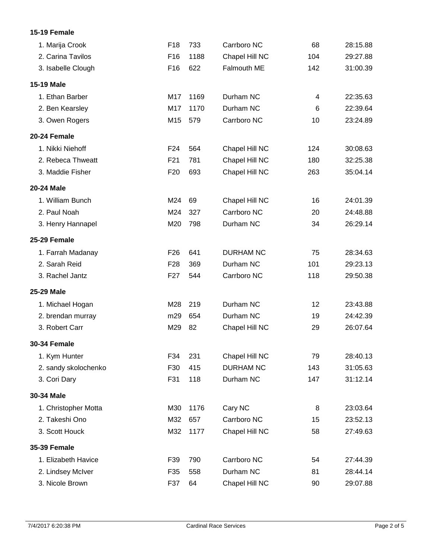### **15-19 Female**

| 1. Marija Crook      | F18             | 733  | Carrboro NC      | 68  | 28:15.88 |
|----------------------|-----------------|------|------------------|-----|----------|
| 2. Carina Tavilos    | F <sub>16</sub> | 1188 | Chapel Hill NC   | 104 | 29:27.88 |
| 3. Isabelle Clough   | F <sub>16</sub> | 622  | Falmouth ME      | 142 | 31:00.39 |
| 15-19 Male           |                 |      |                  |     |          |
| 1. Ethan Barber      | M17             | 1169 | Durham NC        | 4   | 22:35.63 |
| 2. Ben Kearsley      | M17             | 1170 | Durham NC        | 6   | 22:39.64 |
| 3. Owen Rogers       | M15             | 579  | Carrboro NC      | 10  | 23:24.89 |
| 20-24 Female         |                 |      |                  |     |          |
| 1. Nikki Niehoff     | F <sub>24</sub> | 564  | Chapel Hill NC   | 124 | 30:08.63 |
| 2. Rebeca Thweatt    | F <sub>21</sub> | 781  | Chapel Hill NC   | 180 | 32:25.38 |
| 3. Maddie Fisher     | F <sub>20</sub> | 693  | Chapel Hill NC   | 263 | 35:04.14 |
| 20-24 Male           |                 |      |                  |     |          |
| 1. William Bunch     | M24             | 69   | Chapel Hill NC   | 16  | 24:01.39 |
| 2. Paul Noah         | M24             | 327  | Carrboro NC      | 20  | 24:48.88 |
| 3. Henry Hannapel    | M20             | 798  | Durham NC        | 34  | 26:29.14 |
| 25-29 Female         |                 |      |                  |     |          |
| 1. Farrah Madanay    | F <sub>26</sub> | 641  | <b>DURHAM NC</b> | 75  | 28:34.63 |
| 2. Sarah Reid        | F <sub>28</sub> | 369  | Durham NC        | 101 | 29:23.13 |
| 3. Rachel Jantz      | F <sub>27</sub> | 544  | Carrboro NC      | 118 | 29:50.38 |
| 25-29 Male           |                 |      |                  |     |          |
| 1. Michael Hogan     | M28             | 219  | Durham NC        | 12  | 23:43.88 |
| 2. brendan murray    | m29             | 654  | Durham NC        | 19  | 24:42.39 |
| 3. Robert Carr       | M29             | 82   | Chapel Hill NC   | 29  | 26:07.64 |
| <b>30-34 Female</b>  |                 |      |                  |     |          |
| 1. Kym Hunter        | F34             | 231  | Chapel Hill NC   | 79  | 28:40.13 |
| 2. sandy skolochenko | F30             | 415  | <b>DURHAM NC</b> | 143 | 31:05.63 |
| 3. Cori Dary         | F31             | 118  | Durham NC        | 147 | 31:12.14 |
| 30-34 Male           |                 |      |                  |     |          |
| 1. Christopher Motta | M30             | 1176 | Cary NC          | 8   | 23:03.64 |
| 2. Takeshi Ono       | M32             | 657  | Carrboro NC      | 15  | 23:52.13 |
| 3. Scott Houck       | M32             | 1177 | Chapel Hill NC   | 58  | 27:49.63 |
| <b>35-39 Female</b>  |                 |      |                  |     |          |
| 1. Elizabeth Havice  | F39             | 790  | Carrboro NC      | 54  | 27:44.39 |
| 2. Lindsey McIver    | F35             | 558  | Durham NC        | 81  | 28:44.14 |
| 3. Nicole Brown      | F37             | 64   | Chapel Hill NC   | 90  | 29:07.88 |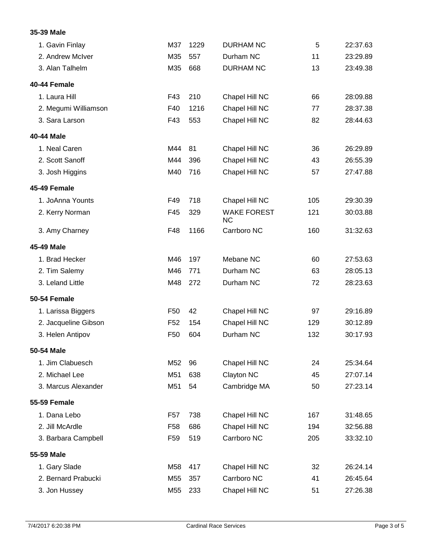#### **35-39 Male**

| 1. Gavin Finlay      | M37             | 1229 | <b>DURHAM NC</b>                | 5   | 22:37.63 |
|----------------------|-----------------|------|---------------------------------|-----|----------|
| 2. Andrew McIver     | M35             | 557  | Durham NC                       | 11  | 23:29.89 |
| 3. Alan Talhelm      | M35             | 668  | <b>DURHAM NC</b>                | 13  | 23:49.38 |
| 40-44 Female         |                 |      |                                 |     |          |
| 1. Laura Hill        | F43             | 210  | Chapel Hill NC                  | 66  | 28:09.88 |
| 2. Megumi Williamson | F40             | 1216 | Chapel Hill NC                  | 77  | 28:37.38 |
| 3. Sara Larson       | F43             | 553  | Chapel Hill NC                  | 82  | 28:44.63 |
| 40-44 Male           |                 |      |                                 |     |          |
| 1. Neal Caren        | M44             | 81   | Chapel Hill NC                  | 36  | 26:29.89 |
| 2. Scott Sanoff      | M44             | 396  | Chapel Hill NC                  | 43  | 26:55.39 |
| 3. Josh Higgins      | M40             | 716  | Chapel Hill NC                  | 57  | 27:47.88 |
| 45-49 Female         |                 |      |                                 |     |          |
| 1. JoAnna Younts     | F49             | 718  | Chapel Hill NC                  | 105 | 29:30.39 |
| 2. Kerry Norman      | F45             | 329  | <b>WAKE FOREST</b><br><b>NC</b> | 121 | 30:03.88 |
| 3. Amy Charney       | F48             | 1166 | Carrboro NC                     | 160 | 31:32.63 |
| 45-49 Male           |                 |      |                                 |     |          |
| 1. Brad Hecker       | M46             | 197  | Mebane NC                       | 60  | 27:53.63 |
| 2. Tim Salemy        | M46             | 771  | Durham NC                       | 63  | 28:05.13 |
| 3. Leland Little     | M48             | 272  | Durham NC                       | 72  | 28:23.63 |
| 50-54 Female         |                 |      |                                 |     |          |
| 1. Larissa Biggers   | F <sub>50</sub> | 42   | Chapel Hill NC                  | 97  | 29:16.89 |
| 2. Jacqueline Gibson | F <sub>52</sub> | 154  | Chapel Hill NC                  | 129 | 30:12.89 |
| 3. Helen Antipov     | F <sub>50</sub> | 604  | Durham NC                       | 132 | 30:17.93 |
| 50-54 Male           |                 |      |                                 |     |          |
| 1. Jim Clabuesch     | M52             | 96   | Chapel Hill NC                  | 24  | 25:34.64 |
| 2. Michael Lee       | M51             | 638  | Clayton NC                      | 45  | 27:07.14 |
| 3. Marcus Alexander  | M51             | 54   | Cambridge MA                    | 50  | 27:23.14 |
| <b>55-59 Female</b>  |                 |      |                                 |     |          |
| 1. Dana Lebo         | F <sub>57</sub> | 738  | Chapel Hill NC                  | 167 | 31:48.65 |
| 2. Jill McArdle      | F <sub>58</sub> | 686  | Chapel Hill NC                  | 194 | 32:56.88 |
| 3. Barbara Campbell  | F <sub>59</sub> | 519  | Carrboro NC                     | 205 | 33:32.10 |
| 55-59 Male           |                 |      |                                 |     |          |
| 1. Gary Slade        | M58             | 417  | Chapel Hill NC                  | 32  | 26:24.14 |
| 2. Bernard Prabucki  | M55             | 357  | Carrboro NC                     | 41  | 26:45.64 |
| 3. Jon Hussey        | M55             | 233  | Chapel Hill NC                  | 51  | 27:26.38 |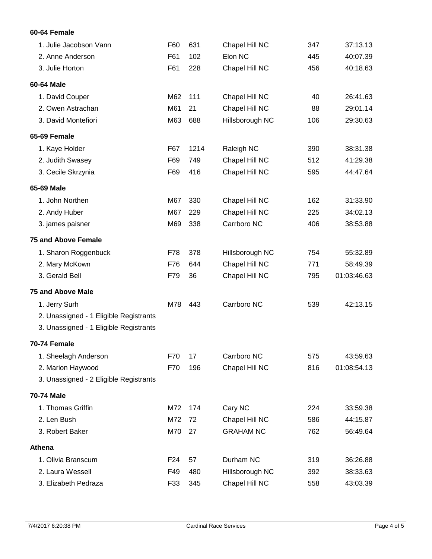### **60-64 Female**

| 1. Julie Jacobson Vann                 | F60 | 631  | Chapel Hill NC   | 347 | 37:13.13    |
|----------------------------------------|-----|------|------------------|-----|-------------|
| 2. Anne Anderson                       | F61 | 102  | Elon NC          | 445 | 40:07.39    |
| 3. Julie Horton                        | F61 | 228  | Chapel Hill NC   | 456 | 40:18.63    |
| 60-64 Male                             |     |      |                  |     |             |
| 1. David Couper                        | M62 | 111  | Chapel Hill NC   | 40  | 26:41.63    |
| 2. Owen Astrachan                      | M61 | 21   | Chapel Hill NC   | 88  | 29:01.14    |
| 3. David Montefiori                    | M63 | 688  | Hillsborough NC  | 106 | 29:30.63    |
| 65-69 Female                           |     |      |                  |     |             |
| 1. Kaye Holder                         | F67 | 1214 | Raleigh NC       | 390 | 38:31.38    |
| 2. Judith Swasey                       | F69 | 749  | Chapel Hill NC   | 512 | 41:29.38    |
| 3. Cecile Skrzynia                     | F69 | 416  | Chapel Hill NC   | 595 | 44:47.64    |
| 65-69 Male                             |     |      |                  |     |             |
| 1. John Northen                        | M67 | 330  | Chapel Hill NC   | 162 | 31:33.90    |
| 2. Andy Huber                          | M67 | 229  | Chapel Hill NC   | 225 | 34:02.13    |
| 3. james paisner                       | M69 | 338  | Carrboro NC      | 406 | 38:53.88    |
| <b>75 and Above Female</b>             |     |      |                  |     |             |
| 1. Sharon Roggenbuck                   | F78 | 378  | Hillsborough NC  | 754 | 55:32.89    |
| 2. Mary McKown                         | F76 | 644  | Chapel Hill NC   | 771 | 58:49.39    |
| 3. Gerald Bell                         | F79 | 36   | Chapel Hill NC   | 795 | 01:03:46.63 |
| <b>75 and Above Male</b>               |     |      |                  |     |             |
| 1. Jerry Surh                          | M78 | 443  | Carrboro NC      | 539 | 42:13.15    |
| 2. Unassigned - 1 Eligible Registrants |     |      |                  |     |             |
| 3. Unassigned - 1 Eligible Registrants |     |      |                  |     |             |
| 70-74 Female                           |     |      |                  |     |             |
| 1. Sheelagh Anderson                   | F70 | 17   | Carrboro NC      | 575 | 43:59.63    |
| 2. Marion Haywood                      | F70 | 196  | Chapel Hill NC   | 816 | 01:08:54.13 |
| 3. Unassigned - 2 Eligible Registrants |     |      |                  |     |             |
| <b>70-74 Male</b>                      |     |      |                  |     |             |
| 1. Thomas Griffin                      | M72 | 174  | Cary NC          | 224 | 33:59.38    |
| 2. Len Bush                            | M72 | 72   | Chapel Hill NC   | 586 | 44:15.87    |
| 3. Robert Baker                        | M70 | 27   | <b>GRAHAM NC</b> | 762 | 56:49.64    |
| Athena                                 |     |      |                  |     |             |
| 1. Olivia Branscum                     | F24 | 57   | Durham NC        | 319 | 36:26.88    |
| 2. Laura Wessell                       | F49 | 480  | Hillsborough NC  | 392 | 38:33.63    |
| 3. Elizabeth Pedraza                   | F33 | 345  | Chapel Hill NC   | 558 | 43:03.39    |